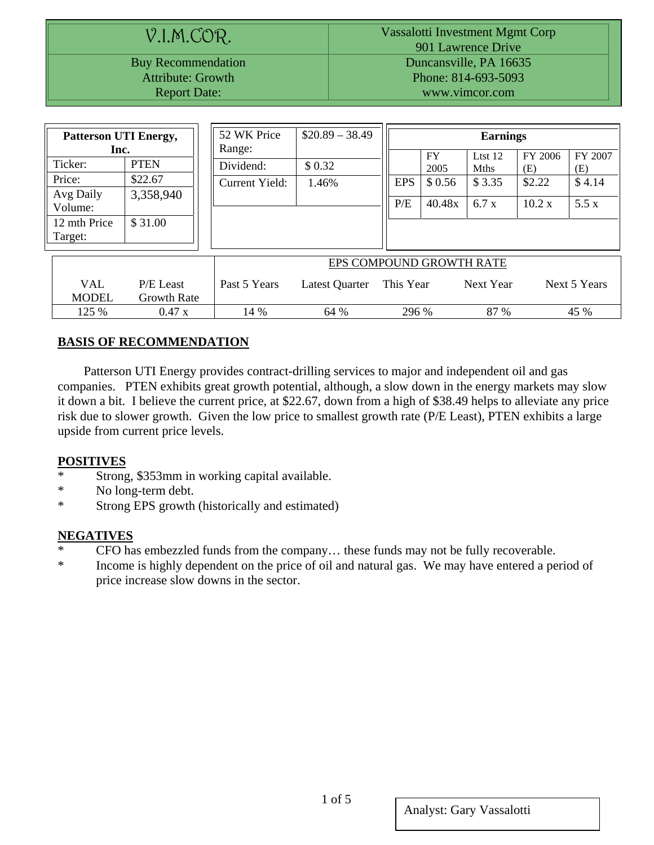Buy Recommendation Attribute: Growth Report Date:

| <b>Patterson UTI Energy,</b><br>Inc. |                                 | 52 WK Price    | $$20.89 - 38.49$<br><b>Earnings</b> |  |            |           |             |         |              |
|--------------------------------------|---------------------------------|----------------|-------------------------------------|--|------------|-----------|-------------|---------|--------------|
|                                      |                                 | Range:         |                                     |  |            | <b>FY</b> | Ltst 12     | FY 2006 | FY 2007      |
| Ticker:                              | <b>PTEN</b>                     | Dividend:      | \$0.32                              |  |            | 2005      | <b>Mths</b> | (E)     | (E)          |
| Price:                               | \$22.67                         | Current Yield: | 1.46%                               |  | <b>EPS</b> | \$0.56    | \$3.35      | \$2.22  | \$4.14       |
| Avg Daily                            | 3,358,940                       |                |                                     |  |            |           |             |         |              |
| Volume:                              |                                 |                |                                     |  | P/E        | 40.48x    | 6.7x        | 10.2 x  | 5.5x         |
| 12 mth Price                         | \$31.00                         |                |                                     |  |            |           |             |         |              |
| Target:                              |                                 |                |                                     |  |            |           |             |         |              |
|                                      |                                 |                |                                     |  |            |           |             |         |              |
|                                      | EPS COMPOUND GROWTH RATE        |                |                                     |  |            |           |             |         |              |
| <b>VAL</b><br><b>MODEL</b>           | P/E Least<br><b>Growth Rate</b> | Past 5 Years   | Latest Quarter                      |  | This Year  |           | Next Year   |         | Next 5 Years |
| 125 %                                | 0.47 x                          | 14 %           | 64 %                                |  | 296 %      |           | 87 %        |         | 45 %         |

## **BASIS OF RECOMMENDATION**

Patterson UTI Energy provides contract-drilling services to major and independent oil and gas companies. PTEN exhibits great growth potential, although, a slow down in the energy markets may slow it down a bit. I believe the current price, at \$22.67, down from a high of \$38.49 helps to alleviate any price risk due to slower growth. Given the low price to smallest growth rate (P/E Least), PTEN exhibits a large upside from current price levels.

## **POSITIVES**

- Strong, \$353mm in working capital available.
- \* No long-term debt.
- \* Strong EPS growth (historically and estimated)

### **NEGATIVES**

- CFO has embezzled funds from the company... these funds may not be fully recoverable.
- \* Income is highly dependent on the price of oil and natural gas. We may have entered a period of price increase slow downs in the sector.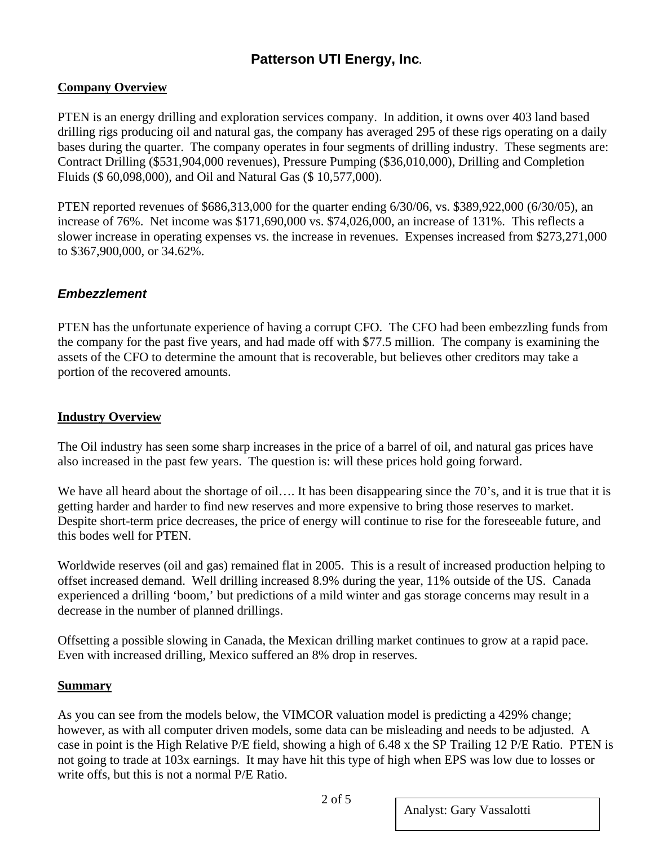# **Patterson UTI Energy, Inc.**

## **Company Overview**

PTEN is an energy drilling and exploration services company. In addition, it owns over 403 land based drilling rigs producing oil and natural gas, the company has averaged 295 of these rigs operating on a daily bases during the quarter. The company operates in four segments of drilling industry. These segments are: Contract Drilling (\$531,904,000 revenues), Pressure Pumping (\$36,010,000), Drilling and Completion Fluids (\$ 60,098,000), and Oil and Natural Gas (\$ 10,577,000).

PTEN reported revenues of \$686,313,000 for the quarter ending 6/30/06, vs. \$389,922,000 (6/30/05), an increase of 76%. Net income was \$171,690,000 vs. \$74,026,000, an increase of 131%. This reflects a slower increase in operating expenses vs. the increase in revenues. Expenses increased from \$273,271,000 to \$367,900,000, or 34.62%.

## *Embezzlement*

PTEN has the unfortunate experience of having a corrupt CFO. The CFO had been embezzling funds from the company for the past five years, and had made off with \$77.5 million. The company is examining the assets of the CFO to determine the amount that is recoverable, but believes other creditors may take a portion of the recovered amounts.

## **Industry Overview**

The Oil industry has seen some sharp increases in the price of a barrel of oil, and natural gas prices have also increased in the past few years. The question is: will these prices hold going forward.

We have all heard about the shortage of oil…. It has been disappearing since the 70's, and it is true that it is getting harder and harder to find new reserves and more expensive to bring those reserves to market. Despite short-term price decreases, the price of energy will continue to rise for the foreseeable future, and this bodes well for PTEN.

Worldwide reserves (oil and gas) remained flat in 2005. This is a result of increased production helping to offset increased demand. Well drilling increased 8.9% during the year, 11% outside of the US. Canada experienced a drilling 'boom,' but predictions of a mild winter and gas storage concerns may result in a decrease in the number of planned drillings.

Offsetting a possible slowing in Canada, the Mexican drilling market continues to grow at a rapid pace. Even with increased drilling, Mexico suffered an 8% drop in reserves.

## **Summary**

As you can see from the models below, the VIMCOR valuation model is predicting a 429% change; however, as with all computer driven models, some data can be misleading and needs to be adjusted. A case in point is the High Relative P/E field, showing a high of 6.48 x the SP Trailing 12 P/E Ratio. PTEN is not going to trade at 103x earnings. It may have hit this type of high when EPS was low due to losses or write offs, but this is not a normal P/E Ratio.

Analyst: Gary Vassalotti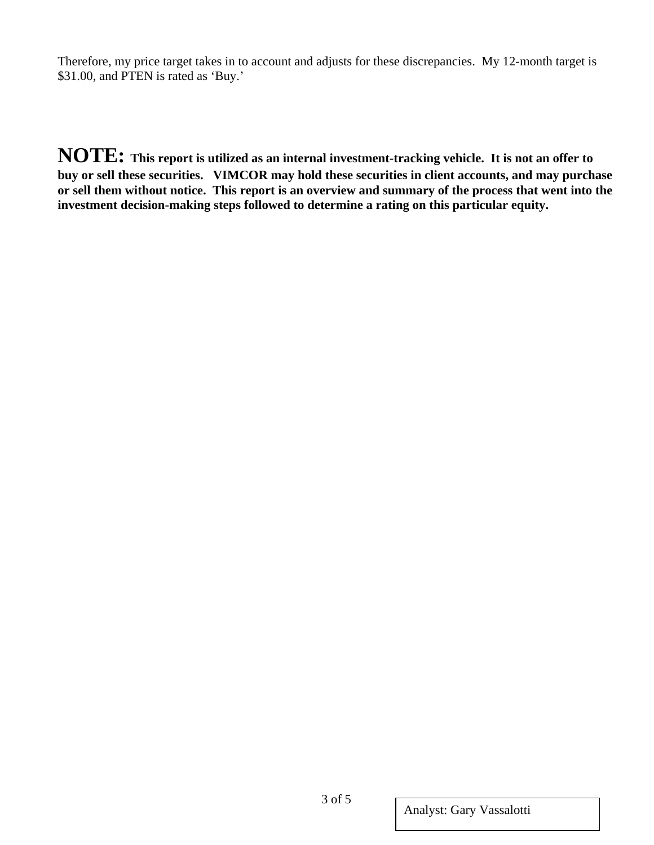Therefore, my price target takes in to account and adjusts for these discrepancies. My 12-month target is \$31.00, and PTEN is rated as 'Buy.'

**NOTE: This report is utilized as an internal investment-tracking vehicle. It is not an offer to buy or sell these securities. VIMCOR may hold these securities in client accounts, and may purchase or sell them without notice. This report is an overview and summary of the process that went into the investment decision-making steps followed to determine a rating on this particular equity.**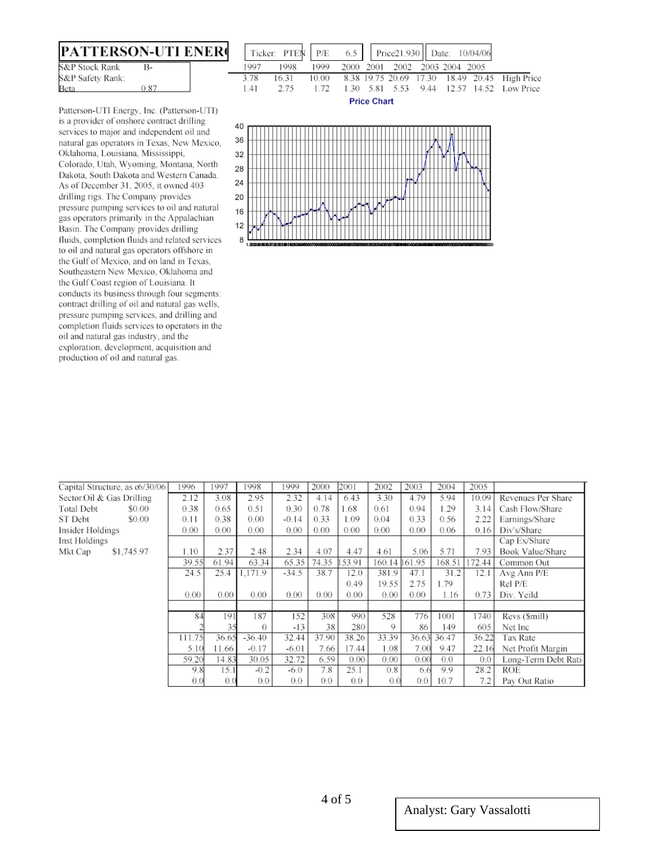| <b>PATTERSON-UTI ENER</b> |  |
|---------------------------|--|
| S&P Stock Rank            |  |
| S&P Safety Rank:          |  |
| Reta                      |  |

|                    | Ticker: PTEN   P/E 6.5     Price21.930   Date: 10/04/06 |  |  |  |                                    |  |  |  |                                                           |
|--------------------|---------------------------------------------------------|--|--|--|------------------------------------|--|--|--|-----------------------------------------------------------|
|                    | 997 1998                                                |  |  |  | 1999 2000 2001 2002 2003 2004 2005 |  |  |  |                                                           |
| 78                 |                                                         |  |  |  |                                    |  |  |  | 16.31 10.00 8.38 19.75 20.69 17.30 18.49 20.45 High Price |
| -41                | 2.75                                                    |  |  |  |                                    |  |  |  | 1.72 1.30 5.81 5.53 9.44 12.57 14.52 Low Price            |
| <b>Price Chart</b> |                                                         |  |  |  |                                    |  |  |  |                                                           |

Patterson-UTI Energy, Inc. (Patterson-UTI) is a provider of onshore contract drilling services to major and independent oil and natural gas operators in Texas, New Mexico, Oklahoma, Louisiana, Mississippi, Colorado, Utah, Wyoming, Montana, North Dakota, South Dakota and Western Canada. As of December 31, 2005, it owned 403 drilling rigs. The Company provides pressure pumping services to oil and natural gas operators primarily in the Appalachian Basin. The Company provides drilling fluids, completion fluids and related services to oil and natural gas operators offshore in the Gulf of Mexico, and on land in Texas, Southeastern New Mexico, Oklahoma and the Gulf Coast region of Louisiana. It conducts its business through four segments: contract drilling of oil and natural gas wells, pressure pumping services, and drilling and completion fluids services to operators in the oil and natural gas industry, and the exploration, development, acquisition and production of oil and natural gas.



| Capital Structure, as 06/30/06 | 1996   | 1997  | 998      | 1999    | 2000  | 2001   | 2002   | 2003   | 2004   | 2005   |                     |
|--------------------------------|--------|-------|----------|---------|-------|--------|--------|--------|--------|--------|---------------------|
| Sector:Oil & Gas Drilling      | 2.12   | 3.08  | 2.95     | 2.32    | 4.14  | 6.43   | 3.30   | 4.79   | 5.94   | 10.09  | Revenues Per Share  |
| Total Debt<br>\$0.00           | 0.38   | 0.65  | 0.51     | 0.30    | 0.78  | 1.68   | 0.61   | 0.94   | 1.29   | 3.14   | Cash Flow/Share     |
| ST Debt<br>\$0.00              | 0.11   | 0.38  | 0.00     | $-0.14$ | 0.33  | 1.09   | 0.04   | 0.33   | 0.56   | 2.22   | Earnings/Share      |
| Insider Holdings               | 0.00   | 0.00  | 0.00     | 0.00    | 0.00  | 0.00   | 0.00   | 0.00   | 0.06   | 0.16   | Div's/Share         |
| Inst Holdings                  |        |       |          |         |       |        |        |        |        |        | Cap Ex/Share        |
| Mkt Cap<br>\$1,745.97          | 1.10   | 2.37  | 2.48     | 2.34    | 4.07  | 4.47   | 4.61   | 5.06   | 5.71   | 7.93   | Book Value/Share    |
|                                | 39.55  | 61.94 | 63.34    | 65.35   | 74.35 | 153.91 | 160.14 | 161.95 | 168.51 | 172.44 | Common Out          |
|                                | 24.5   | 25.4  | .171.9   | $-34.5$ | 38.7  | 12.0   | 381.9  | 47.1   | 31.2   | 12.1   | Avg Ann P/E         |
|                                |        |       |          |         |       | 0.49   | 19.55  | 2.75   | 1.79   |        | Rel P/E             |
|                                | 0.00   | 0.00  | 0.00     | 0.00    | 0.00  | 0.00   | 0.00   | 0.00   | 1.16   | 0.73   | Div. Yeild          |
|                                |        |       |          |         |       |        |        |        |        |        |                     |
|                                | 84     | 191   | 187      | 152     | 308   | 990    | 528    | 776    | 1001   | 1740   | Revs (\$mill)       |
|                                |        | 35    | 0        | $-13$   | 38    | 280    | 9      | 86     | 149    | 605    | Net Inc             |
|                                | 111.75 | 36.65 | $-36.40$ | 32.44   | 37.90 | 38.26  | 33.39  | 36.63  | 36.47  | 36.22  | Tax Rate            |
|                                | 5.10   | 11.66 | $-0.17$  | $-6.01$ | 7.66  | 17.44  | 1.08   | 7.00   | 9.47   | 22.16  | Net Profit Margin   |
|                                | 59.20  | 14.83 | 30.05    | 32.72   | 6.59  | 0.00   | 0.00   | 0.00   | 0.0    | 0.0    | Long-Term Debt Rati |
|                                | 9.8    | 15.1  | $-0.2$   | $-6.0$  | 7.8   | 25.1   | 0.8    | 6.6    | 9.9    | 28.2   | ROE                 |
|                                | 0.0    | 0.0   | $0.0\,$  | 0.0     | 0.0   | 0.0    | 0.0    | 0.0    | 10.7   | 7.2    | Pay Out Ratio       |